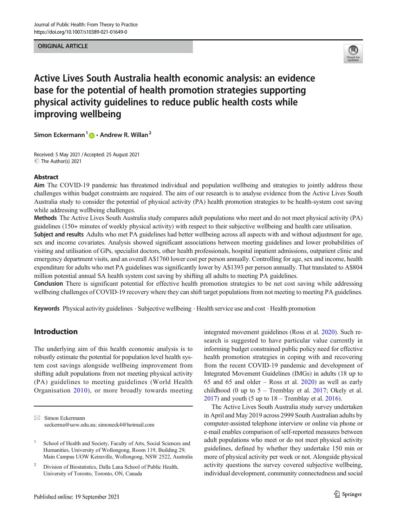#### ORIGINAL ARTICLE



# Active Lives South Australia health economic analysis: an evidence base for the potential of health promotion strategies supporting physical activity guidelines to reduce public health costs while improving wellbeing

Simon Eckermann<sup>1</sup>  $\mathbf{D} \cdot \mathbf{A}$ ndrew R. Willan<sup>2</sup>

Received: 5 May 2021 /Accepted: 25 August 2021  $\circledcirc$  The Author(s) 2021

#### Abstract

Aim The COVID-19 pandemic has threatened individual and population wellbeing and strategies to jointly address these challenges within budget constraints are required. The aim of our research is to analyse evidence from the Active Lives South Australia study to consider the potential of physical activity (PA) health promotion strategies to be health-system cost saving while addressing wellbeing challenges.

Methods The Active Lives South Australia study compares adult populations who meet and do not meet physical activity (PA) guidelines (150+ minutes of weekly physical activity) with respect to their subjective wellbeing and health care utilisation.

Subject and results Adults who met PA guidelines had better wellbeing across all aspects with and without adjustment for age, sex and income covariates. Analysis showed significant associations between meeting guidelines and lower probabilities of visiting and utilisation of GPs, specialist doctors, other health professionals, hospital inpatient admissions, outpatient clinic and emergency department visits, and an overall A\$1760 lower cost per person annually. Controlling for age, sex and income, health expenditure for adults who met PA guidelines was significantly lower by A\$1393 per person annually. That translated to A\$804 million potential annual SA health system cost saving by shifting all adults to meeting PA guidelines.

Conclusion There is significant potential for effective health promotion strategies to be net cost saving while addressing wellbeing challenges of COVID-19 recovery where they can shift target populations from not meeting to meeting PA guidelines.

Keywords Physical activity guidelines . Subjective wellbeing . Health service use and cost . Health promotion

# Introduction

The underlying aim of this health economic analysis is to robustly estimate the potential for population level health system cost savings alongside wellbeing improvement from shifting adult populations from not meeting physical activity (PA) guidelines to meeting guidelines (World Health Organisation [2010\)](#page-16-0), or more broadly towards meeting

integrated movement guidelines (Ross et al. [2020](#page-15-0)). Such research is suggested to have particular value currently in informing budget constrained public policy need for effective health promotion strategies in coping with and recovering from the recent COVID-19 pandemic and development of Integrated Movement Guidelines (IMGs) in adults (18 up to 65 and 65 and older – Ross et al. [2020\)](#page-15-0) as well as early childhood (0 up to  $5$  – Tremblay et al. [2017;](#page-16-0) Okely et al.  $2017$ ) and youth (5 up to  $18 -$ Tremblay et al.  $2016$ ).

The Active Lives South Australia study survey undertaken in April and May 2019 across 2999 South Australian adults by computer-assisted telephone interview or online via phone or e-mail enables comparison of self-reported measures between adult populations who meet or do not meet physical activity guidelines, defined by whether they undertake 150 min or more of physical activity per week or not. Alongside physical activity questions the survey covered subjective wellbeing, individual development, community connectedness and social

 $\boxtimes$  Simon Eckermann [seckerma@uow.edu.au;](mailto:seckerma@uow.edu.au) [simoneck4@hotmail.com](mailto:simoneck4@hotmail.com)

<sup>&</sup>lt;sup>1</sup> School of Health and Society, Faculty of Arts, Social Sciences and Humanities, University of Wollongong, Room 119, Building 29, Main Campus UOW Keiraville, Wollongong, NSW 2522, Australia

<sup>&</sup>lt;sup>2</sup> Division of Biostatistics, Dalla Lana School of Public Health, University of Toronto, Toronto, ON, Canada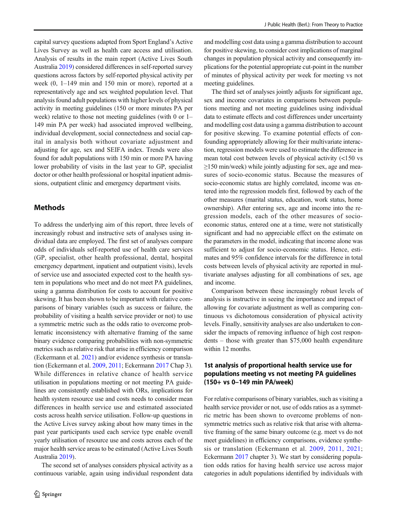capital survey questions adapted from Sport England's Active Lives Survey as well as health care access and utilisation. Analysis of results in the main report (Active Lives South Australia [2019\)](#page-14-0) considered differences in self-reported survey questions across factors by self-reported physical activity per week (0, 1–149 min and 150 min or more), reported at a representatively age and sex weighted population level. That analysis found adult populations with higher levels of physical activity in meeting guidelines (150 or more minutes PA per week) relative to those not meeting guidelines (with 0 or 1– 149 min PA per week) had associated improved wellbeing, individual development, social connectedness and social capital in analysis both without covariate adjustment and adjusting for age, sex and SEIFA index. Trends were also found for adult populations with 150 min or more PA having lower probability of visits in the last year to GP, specialist doctor or other health professional or hospital inpatient admissions, outpatient clinic and emergency department visits.

# Methods

To address the underlying aim of this report, three levels of increasingly robust and instructive sets of analyses using individual data are employed. The first set of analyses compare odds of individuals self-reported use of health care services (GP, specialist, other health professional, dental, hospital emergency department, inpatient and outpatient visits), levels of service use and associated expected cost to the health system in populations who meet and do not meet PA guidelines, using a gamma distribution for costs to account for positive skewing. It has been shown to be important with relative comparisons of binary variables (such as success or failure, the probability of visiting a health service provider or not) to use a symmetric metric such as the odds ratio to overcome problematic inconsistency with alternative framing of the same binary evidence comparing probabilities with non-symmetric metrics such as relative risk that arise in efficiency comparison (Eckermann et al. [2021\)](#page-15-0) and/or evidence synthesis or translation (Eckermann et al. [2009](#page-15-0), [2011](#page-15-0); Eckermann [2017](#page-14-0) Chap 3). While differences in relative chance of health service utilisation in populations meeting or not meeting PA guidelines are consistently established with ORs, implications for health system resource use and costs needs to consider mean differences in health service use and estimated associated costs across health service utilisation. Follow-up questions in the Active Lives survey asking about how many times in the past year participants used each service type enable overall yearly utilisation of resource use and costs across each of the major health service areas to be estimated (Active Lives South Australia [2019](#page-14-0)).

The second set of analyses considers physical activity as a continuous variable, again using individual respondent data

and modelling cost data using a gamma distribution to account for positive skewing, to consider cost implications of marginal changes in population physical activity and consequently implications for the potential appropriate cut-point in the number of minutes of physical activity per week for meeting vs not meeting guidelines.

The third set of analyses jointly adjusts for significant age, sex and income covariates in comparisons between populations meeting and not meeting guidelines using individual data to estimate effects and cost differences under uncertainty and modelling cost data using a gamma distribution to account for positive skewing. To examine potential effects of confounding appropriately allowing for their multivariate interaction, regression models were used to estimate the difference in mean total cost between levels of physical activity (<150 vs  $\geq$ 150 min/week) while jointly adjusting for sex, age and measures of socio-economic status. Because the measures of socio-economic status are highly correlated, income was entered into the regression models first, followed by each of the other measures (marital status, education, work status, home ownership). After entering sex, age and income into the regression models, each of the other measures of socioeconomic status, entered one at a time, were not statistically significant and had no appreciable effect on the estimate on the parameters in the model, indicating that income alone was sufficient to adjust for socio-economic status. Hence, estimates and 95% confidence intervals for the difference in total costs between levels of physical activity are reported in multivariate analyses adjusting for all combinations of sex, age and income.

Comparison between these increasingly robust levels of analysis is instructive in seeing the importance and impact of allowing for covariate adjustment as well as comparing continuous vs dichotomous consideration of physical activity levels. Finally, sensitivity analyses are also undertaken to consider the impacts of removing influence of high cost respondents – those with greater than \$75,000 health expenditure within 12 months.

## 1st analysis of proportional health service use for populations meeting vs not meeting PA guidelines (150+ vs 0–149 min PA/week)

For relative comparisons of binary variables, such as visiting a health service provider or not, use of odds ratios as a symmetric metric has been shown to overcome problems of nonsymmetric metrics such as relative risk that arise with alternative framing of the same binary outcome (e.g. meet vs do not meet guidelines) in efficiency comparisons, evidence synthesis or translation (Eckermann et al. [2009,](#page-15-0) [2011,](#page-15-0) [2021;](#page-15-0) Eckermann [2017](#page-14-0) chapter 3). We start by considering population odds ratios for having health service use across major categories in adult populations identified by individuals with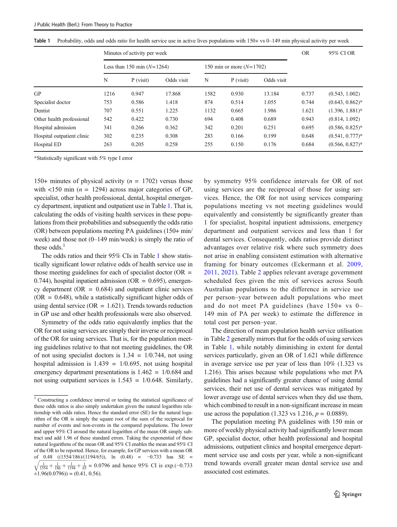<span id="page-2-0"></span>

|  |  |  | Table 1 Probability, odds and odds ratio for health service use in active lives populations with 150+ vs 0-149 min physical activity per week |
|--|--|--|-----------------------------------------------------------------------------------------------------------------------------------------------|
|  |  |  |                                                                                                                                               |

|                            | Minutes of activity per week |             |            |                            |             |            |       | 95% CI OR          |
|----------------------------|------------------------------|-------------|------------|----------------------------|-------------|------------|-------|--------------------|
|                            | Less than 150 min $(N=1264)$ |             |            | 150 min or more $(N=1702)$ |             |            |       |                    |
|                            | N                            | $P$ (visit) | Odds visit | N                          | $P$ (visit) | Odds visit |       |                    |
| GP                         | 1216                         | 0.947       | 17.868     | 1582                       | 0.930       | 13.184     | 0.737 | (0.543, 1.002)     |
| Specialist doctor          | 753                          | 0.586       | 1.418      | 874                        | 0.514       | 1.055      | 0.744 | $(0.643, 0.862)^*$ |
| Dentist                    | 707                          | 0.551       | 1.225      | 1132                       | 0.665       | 1.986      | 1.621 | $(1.396, 1.881)^*$ |
| Other health professional  | 542                          | 0.422       | 0.730      | 694                        | 0.408       | 0.689      | 0.943 | (0.814, 1.092)     |
| Hospital admission         | 341                          | 0.266       | 0.362      | 342                        | 0.201       | 0.251      | 0.695 | $(0.586, 0.825)^*$ |
| Hospital outpatient clinic | 302                          | 0.235       | 0.308      | 283                        | 0.166       | 0.199      | 0.648 | $(0.541, 0.777)*$  |
| Hospital ED                | 263                          | 0.205       | 0.258      | 255                        | 0.150       | 0.176      | 0.684 | $(0.566, 0.827)^*$ |

\*Statistically significant with 5% type I error

150+ minutes of physical activity ( $n = 1702$ ) versus those with  $\langle 150 \text{ min} (n = 1294)$  across major categories of GP, specialist, other health professional, dental, hospital emergency department, inpatient and outpatient use in Table 1. That is, calculating the odds of visiting health services in these populations from their probabilities and subsequently the odds ratio (OR) between populations meeting PA guidelines (150+ min/ week) and those not (0–149 min/week) is simply the ratio of these odds. $<sup>1</sup>$ </sup>

The odds ratios and their 95% CIs in Table 1 show statistically significant lower relative odds of health service use in those meeting guidelines for each of specialist doctor  $(OR =$ 0.744), hospital inpatient admission (OR =  $0.695$ ), emergency department ( $OR = 0.684$ ) and outpatient clinic services  $(OR = 0.648)$ , while a statistically significant higher odds of using dental service ( $OR = 1.621$ ). Trends towards reduction in GP use and other health professionals were also observed.

Symmetry of the odds ratio equivalently implies that the OR for not using services are simply their inverse or reciprocal of the OR for using services. That is, for the population meeting guidelines relative to that not meeting guidelines, the OR of not using specialist doctors is  $1.34 = 1/0.744$ , not using hospital admission is  $1.439 = 1/0.695$ , not using hospital emergency department presentations is 1.462 = 1/0.684 and not using outpatient services is  $1.543 = 1/0.648$ . Similarly,

by symmetry 95% confidence intervals for OR of not using services are the reciprocal of those for using services. Hence, the OR for not using services comparing populations meeting vs not meeting guidelines would equivalently and consistently be significantly greater than 1 for specialist, hospital inpatient admissions, emergency department and outpatient services and less than 1 for dental services. Consequently, odds ratios provide distinct advantages over relative risk where such symmetry does not arise in enabling consistent estimation with alternative framing for binary outcomes (Eckermann et al. [2009,](#page-15-0) [2011](#page-15-0), [2021](#page-15-0)). Table [2](#page-3-0) applies relevant average government scheduled fees given the mix of services across South Australian populations to the difference in service use per person–year between adult populations who meet and do not meet PA guidelines (have 150+ vs 0– 149 min of PA per week) to estimate the difference in total cost per person–year.

The direction of mean population health service utilisation in Table [2](#page-3-0) generally mirrors that for the odds of using services in Table 1, while notably diminishing in extent for dental services particularly, given an OR of 1.621 while difference in average service use per year of less than 10% (1.323 vs 1.216). This arises because while populations who met PA guidelines had a significantly greater chance of using dental services, their net use of dental services was mitigated by lower average use of dental services when they did use them, which combined to result in a non-significant increase in mean use across the population (1.323 vs 1.216,  $p = 0.0889$ ).

The population meeting PA guidelines with 150 min or more of weekly physical activity had significantly lower mean GP, specialist doctor, other health professional and hospital admissions, outpatient clinics and hospital emergence department service use and costs per year, while a non-significant trend towards overall greater mean dental service use and associated cost estimates.

<sup>&</sup>lt;sup>1</sup> Constructing a confidence interval or testing the statistical significance of these odds ratios is also simply undertaken given the natural logarithm relationship with odds ratios. Hence the standard error (SE) for the natural logarithm of the OR is simply the square root of the sum of the reciprocal for number of events and non-events in the compared populations. The lower and upper 95% CI around the natural logarithm of the mean OR simply subtract and add 1.96 of these standard errors. Taking the exponential of these natural logarithms of the mean OR and 95% CI enables the mean and 95% CI of the OR to be reported. Hence, for example, for GP services with a mean OR of 0.48 ( $(1554/186)/(1194/65)$ ), ln  $(0.48) = -0.733$  has SE = of 0.48 ((1554/186)/(1194/65)), ln (0.48) = −0.733 has SE =  $\sqrt{\frac{1}{1554} + \frac{1}{186} + \frac{1}{1194} + \frac{1}{65}}$  = 0.0796 and hence 95% CI is exp.(−0.733  $\pm$ 1.96(0.0796)) = (0.41, 0.56).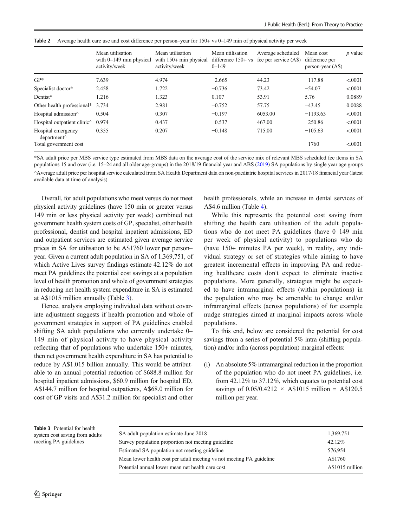<span id="page-3-0"></span>Table 2 Average health care use and cost difference per person–year for 150+ vs 0–149 min of physical activity per week

|                                                          | Mean utilisation<br>with $0-149$ min physical<br>activity/week | Mean utilisation<br>with $150+$ min physical<br>activity/week | Mean utilisation<br>difference $150 + vs$<br>$0 - 149$ | Average scheduled<br>fee per service (A\$) | Mean cost<br>difference per<br>$person-year (AS)$ | $p$ value |
|----------------------------------------------------------|----------------------------------------------------------------|---------------------------------------------------------------|--------------------------------------------------------|--------------------------------------------|---------------------------------------------------|-----------|
| $GP*$                                                    | 7.639                                                          | 4.974                                                         | $-2.665$                                               | 44.23                                      | $-117.88$                                         | < .0001   |
| Specialist doctor*                                       | 2.458                                                          | 1.722                                                         | $-0.736$                                               | 73.42                                      | $-54.07$                                          | < .0001   |
| Dentist*                                                 | 1.216                                                          | 1.323                                                         | 0.107                                                  | 53.91                                      | 5.76                                              | 0.0889    |
| Other health professional* $3.734$                       |                                                                | 2.981                                                         | $-0.752$                                               | 57.75                                      | $-43.45$                                          | 0.0088    |
| Hospital admission <sup><math>\land</math></sup>         | 0.504                                                          | 0.307                                                         | $-0.197$                                               | 6053.00                                    | $-1193.63$                                        | < .0001   |
| Hospital outpatient clinic <sup><math>\land</math></sup> | 0.974                                                          | 0.437                                                         | $-0.537$                                               | 467.00                                     | $-250.86$                                         | < .0001   |
| Hospital emergency<br>department <sup>^</sup>            | 0.355                                                          | 0.207                                                         | $-0.148$                                               | 715.00                                     | $-105.63$                                         | < .0001   |
| Total government cost                                    |                                                                |                                                               |                                                        |                                            | $-1760$                                           | < .0001   |

\*SA adult price per MBS service type estimated from MBS data on the average cost of the service mix of relevant MBS scheduled fee items in SA populations 15 and over (i.e. 15–24 and all older age-groups) in the 2018/19 financial year and ABS ([2019](#page-14-0)) SA populations by single year age groups ^Average adult price per hospital service calculated from SA Health Department data on non-paediatric hospital services in 2017/18 financial year (latest available data at time of analysis)

Overall, for adult populations who meet versus do not meet physical activity guidelines (have 150 min or greater versus 149 min or less physical activity per week) combined net government health system costs of GP, specialist, other health professional, dentist and hospital inpatient admissions, ED and outpatient services are estimated given average service prices in SA for utilisation to be A\$1760 lower per person– year. Given a current adult population in SA of 1,369,751, of which Active Lives survey findings estimate 42.12% do not meet PA guidelines the potential cost savings at a population level of health promotion and whole of government strategies in reducing net health system expenditure in SA is estimated at A\$1015 million annually (Table 3).

Hence, analysis employing individual data without covariate adjustment suggests if health promotion and whole of government strategies in support of PA guidelines enabled shifting SA adult populations who currently undertake 0– 149 min of physical activity to have physical activity reflecting that of populations who undertake 150+ minutes, then net government health expenditure in SA has potential to reduce by A\$1.015 billion annually. This would be attributable to an annual potential reduction of \$688.8 million for hospital inpatient admissions, \$60.9 million for hospital ED, A\$144.7 million for hospital outpatients, A\$68.0 million for cost of GP visits and A\$31.2 million for specialist and other health professionals, while an increase in dental services of A\$4.6 million (Table [4](#page-4-0)).

While this represents the potential cost saving from shifting the health care utilisation of the adult populations who do not meet PA guidelines (have 0–149 min per week of physical activity) to populations who do (have 150+ minutes PA per week), in reality, any individual strategy or set of strategies while aiming to have greatest incremental effects in improving PA and reducing healthcare costs don't expect to eliminate inactive populations. More generally, strategies might be expected to have intramarginal effects (within populations) in the population who may be amenable to change and/or inframarginal effects (across populations) of for example nudge strategies aimed at marginal impacts across whole populations.

To this end, below are considered the potential for cost savings from a series of potential 5% intra (shifting population) and/or infra (across population) marginal effects:

(i) An absolute 5% intramarginal reduction in the proportion of the population who do not meet PA guidelines, i.e. from 42.12% to 37.12%, which equates to potential cost savings of 0.05/0.4212  $\times$  A\$1015 million = A\$120.5 million per year.

| Table 3 Potential for health   |                                                                      |                 |
|--------------------------------|----------------------------------------------------------------------|-----------------|
| system cost saving from adults | SA adult population estimate June 2018                               | 1,369,751       |
| meeting PA guidelines          | Survey population proportion not meeting guideline                   | $42.12\%$       |
|                                | Estimated SA population not meeting guideline                        | 576,954         |
|                                | Mean lower health cost per adult meeting vs not meeting PA guideline | A\$1760         |
|                                | Potential annual lower mean net health care cost                     | A\$1015 million |
|                                |                                                                      |                 |

Table 3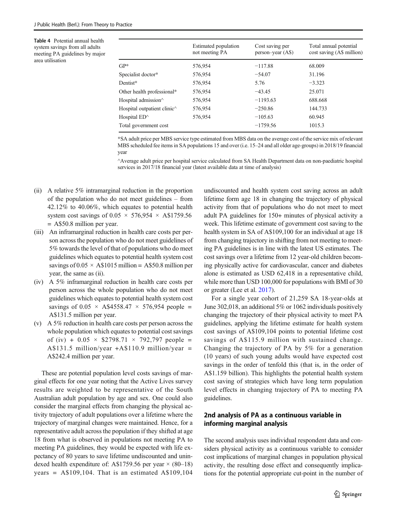<span id="page-4-0"></span>Table 4 Potential annual health system savings from all adults meeting PA guidelines by major area utilisation

|                                                          | Estimated population<br>not meeting PA | Cost saving per<br>$person-year (AS)$ | Total annual potential<br>cost saving (A\$ million) |
|----------------------------------------------------------|----------------------------------------|---------------------------------------|-----------------------------------------------------|
| $GP^*$                                                   | 576,954                                | $-117.88$                             | 68.009                                              |
| Specialist doctor*                                       | 576,954                                | $-54.07$                              | 31.196                                              |
| Dentist*                                                 | 576,954                                | 5.76                                  | $-3.323$                                            |
| Other health professional*                               | 576,954                                | $-43.45$                              | 25.071                                              |
| Hospital admission $\wedge$                              | 576,954                                | $-1193.63$                            | 688.668                                             |
| Hospital outpatient clinic <sup><math>\land</math></sup> | 576,954                                | $-250.86$                             | 144.733                                             |
| Hospital $ED^{\wedge}$                                   | 576,954                                | $-105.63$                             | 60.945                                              |
| Total government cost                                    |                                        | $-1759.56$                            | 1015.3                                              |

\*SA adult price per MBS service type estimated from MBS data on the average cost of the service mix of relevant MBS scheduled fee items in SA populations 15 and over (i.e. 15–24 and all older age-groups) in 2018/19 financial year

^Average adult price per hospital service calculated from SA Health Department data on non-paediatric hospital services in 2017/18 financial year (latest available data at time of analysis)

- (ii) A relative 5% intramarginal reduction in the proportion of the population who do not meet guidelines – from 42.12% to 40.06%, which equates to potential health system cost savings of  $0.05 \times 576,954 \times$  A\$1759.56 = A\$50.8 million per year.
- (iii) An inframarginal reduction in health care costs per person across the population who do not meet guidelines of 5% towards the level of that of populations who do meet guidelines which equates to potential health system cost savings of  $0.05 \times$  A\$1015 million = A\$50.8 million per year, the same as (ii).
- (iv) A 5% inframarginal reduction in health care costs per person across the whole population who do not meet guidelines which equates to potential health system cost savings of  $0.05 \times$  A\$4558.47  $\times$  576,954 people = A\$131.5 million per year.
- (v) A 5% reduction in health care costs per person across the whole population which equates to potential cost savings of (iv) +  $0.05 \times$  \$2798.71  $\times$  792,797 people = A\$131.5 million/year +A\$110.9 million/year = A\$242.4 million per year.

These are potential population level costs savings of marginal effects for one year noting that the Active Lives survey results are weighted to be representative of the South Australian adult population by age and sex. One could also consider the marginal effects from changing the physical activity trajectory of adult populations over a lifetime where the trajectory of marginal changes were maintained. Hence, for a representative adult across the population if they shifted at age 18 from what is observed in populations not meeting PA to meeting PA guidelines, they would be expected with life expectancy of 80 years to save lifetime undiscounted and unindexed health expenditure of: A\$1759.56 per year  $\times$  (80–18) years =  $A$109,104$ . That is an estimated  $A$109,104$  undiscounted and health system cost saving across an adult lifetime form age 18 in changing the trajectory of physical activity from that of populations who do not meet to meet adult PA guidelines for 150+ minutes of physical activity a week. This lifetime estimate of government cost saving to the health system in SA of A\$109,100 for an individual at age 18 from changing trajectory in shifting from not meeting to meeting PA guidelines is in line with the latest US estimates. The cost savings over a lifetime from 12 year-old children becoming physically active for cardiovascular, cancer and diabetes alone is estimated as USD 62,418 in a representative child, while more than USD 100,000 for populations with BMI of 30 or greater (Lee et al. [2017](#page-15-0)).

For a single year cohort of 21,259 SA 18-year-olds at June 302,018, an additional 5% or 1062 individuals positively changing the trajectory of their physical activity to meet PA guidelines, applying the lifetime estimate for health system cost savings of A\$109,104 points to potential lifetime cost savings of A\$115.9 million with sustained change. Changing the trajectory of PA by 5% for a generation (10 years) of such young adults would have expected cost savings in the order of tenfold this (that is, in the order of A\$1.159 billion). This highlights the potential health system cost saving of strategies which have long term population level effects in changing trajectory of PA to meeting PA guidelines.

# 2nd analysis of PA as a continuous variable in informing marginal analysis

The second analysis uses individual respondent data and considers physical activity as a continuous variable to consider cost implications of marginal changes in population physical activity, the resulting dose effect and consequently implications for the potential appropriate cut-point in the number of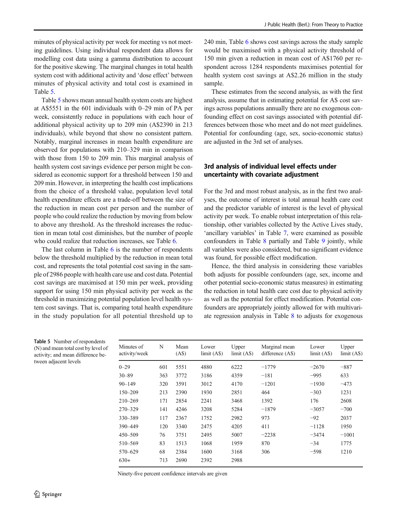minutes of physical activity per week for meeting vs not meeting guidelines. Using individual respondent data allows for modelling cost data using a gamma distribution to account for the positive skewing. The marginal changes in total health system cost with additional activity and 'dose effect' between minutes of physical activity and total cost is examined in Table 5.

Table 5 shows mean annual health system costs are highest at A\$5551 in the 601 individuals with 0–29 min of PA per week, consistently reduce in populations with each hour of additional physical activity up to 209 min (A\$2390 in 213 individuals), while beyond that show no consistent pattern. Notably, marginal increases in mean health expenditure are observed for populations with 210–329 min in comparison with those from 150 to 209 min. This marginal analysis of health system cost savings evidence per person might be considered as economic support for a threshold between 150 and 209 min. However, in interpreting the health cost implications from the choice of a threshold value, population level total health expenditure effects are a trade-off between the size of the reduction in mean cost per person and the number of people who could realize the reduction by moving from below to above any threshold. As the threshold increases the reduction in mean total cost diminishes, but the number of people who could realize that reduction increases, see Table [6.](#page-6-0)

The last column in Table [6](#page-6-0) is the number of respondents below the threshold multiplied by the reduction in mean total cost, and represents the total potential cost saving in the sample of 2986 people with health care use and cost data. Potential cost savings are maximised at 150 min per week, providing support for using 150 min physical activity per week as the threshold in maximizing potential population level health system cost savings. That is, comparing total health expenditure in the study population for all potential threshold up to

240 min, Table [6](#page-6-0) shows cost savings across the study sample would be maximised with a physical activity threshold of 150 min given a reduction in mean cost of A\$1760 per respondent across 1284 respondents maximises potential for health system cost savings at A\$2.26 million in the study sample.

These estimates from the second analysis, as with the first analysis, assume that in estimating potential for A\$ cost savings across populations annually there are no exogenous confounding effect on cost savings associated with potential differences between those who meet and do not meet guidelines. Potential for confounding (age, sex, socio-economic status) are adjusted in the 3rd set of analyses.

# 3rd analysis of individual level effects under uncertainty with covariate adjustment

For the 3rd and most robust analysis, as in the first two analyses, the outcome of interest is total annual health care cost and the predictor variable of interest is the level of physical activity per week. To enable robust interpretation of this relationship, other variables collected by the Active Lives study, 'ancillary variables' in Table [7](#page-6-0), were examined as possible confounders in Table [8](#page-7-0) partially and Table [9](#page-7-0) jointly, while all variables were also considered, but no significant evidence was found, for possible effect modification.

Hence, the third analysis in considering these variables both adjusts for possible confounders (age, sex, income and other potential socio-economic status measures) in estimating the reduction in total health care cost due to physical activity as well as the potential for effect modification. Potential confounders are appropriately jointly allowed for with multivariate regression analysis in Table [8](#page-7-0) to adjusts for exogenous

Table 5 Number of respondents (N) and mean total cost by level of activity; and mean difference between adjacent levels

| Minutes of<br>activity/week | N   | Mean<br>(AS) | Lower<br>limit (A <sub>5</sub> ) | Upper<br>limit (A <sub>s</sub> ) | Marginal mean<br>difference (A\$) | Lower<br>limit (A <sub>s</sub> ) | Upper<br>limit (A <sub>s</sub> ) |
|-----------------------------|-----|--------------|----------------------------------|----------------------------------|-----------------------------------|----------------------------------|----------------------------------|
| $0 - 29$                    | 601 | 5551         | 4880                             | 6222                             | $-1779$                           | $-2670$                          | $-887$                           |
| $30 - 89$                   | 363 | 3772         | 3186                             | 4359                             | $-181$                            | $-995$                           | 633                              |
| $90 - 149$                  | 320 | 3591         | 3012                             | 4170                             | $-1201$                           | $-1930$                          | $-473$                           |
| 150-209                     | 213 | 2390         | 1930                             | 2851                             | 464                               | $-303$                           | 1231                             |
| $210 - 269$                 | 171 | 2854         | 2241                             | 3468                             | 1392                              | 176                              | 2608                             |
| $270 - 329$                 | 141 | 4246         | 3208                             | 5284                             | $-1879$                           | $-3057$                          | $-700$                           |
| 330-389                     | 117 | 2367         | 1752                             | 2982                             | 973                               | $-92$                            | 2037                             |
| 390-449                     | 120 | 3340         | 2475                             | 4205                             | 411                               | $-1128$                          | 1950                             |
| 450-509                     | 76  | 3751         | 2495                             | 5007                             | $-2238$                           | $-3474$                          | $-1001$                          |
| 510-569                     | 83  | 1513         | 1068                             | 1959                             | 870                               | $-34$                            | 1775                             |
| 570-629                     | 68  | 2384         | 1600                             | 3168                             | 306                               | $-598$                           | 1210                             |
| $630+$                      | 713 | 2690         | 2392                             | 2988                             |                                   |                                  |                                  |

Ninety-five percent confidence intervals are given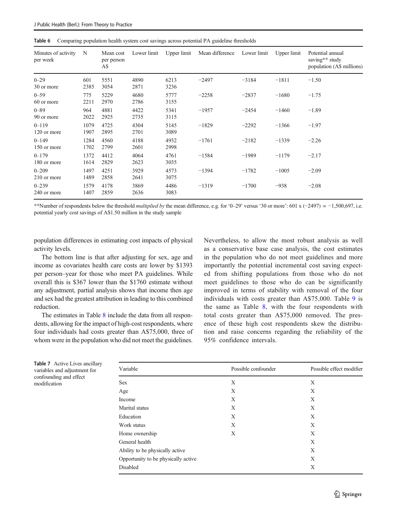<span id="page-6-0"></span>

|  | Table 6 Comparing population health system cost savings across potential PA guideline thresholds |  |  |  |  |
|--|--------------------------------------------------------------------------------------------------|--|--|--|--|
|--|--------------------------------------------------------------------------------------------------|--|--|--|--|

| Minutes of activity<br>per week | N            | Mean cost<br>per person<br>A\$ | Lower limit  | Upper limit  | Mean difference | Lower limit | Upper limit | Potential annual<br>saving** study<br>population (A\$ millions) |
|---------------------------------|--------------|--------------------------------|--------------|--------------|-----------------|-------------|-------------|-----------------------------------------------------------------|
| $0 - 29$                        | 601          | 5551                           | 4890         | 6213         | $-2497$         | $-3184$     | $-1811$     | $-1.50$                                                         |
| 30 or more                      | 2385         | 3054                           | 2871         | 3236         |                 |             |             |                                                                 |
| $0 - 59$<br>60 or more          | 775<br>2211  | 5229<br>2970                   | 4680<br>2786 | 5777<br>3155 | $-2258$         | $-2837$     | $-1680$     | $-1.75$                                                         |
| $0 - 89$<br>90 or more          | 964<br>2022  | 4881<br>2925                   | 4422<br>2735 | 5341<br>3115 | $-1957$         | $-2454$     | $-1460$     | $-1.89$                                                         |
| $0 - 119$<br>120 or more        | 1079<br>1907 | 4725<br>2895                   | 4304<br>2701 | 5145<br>3089 | $-1829$         | $-2292$     | $-1366$     | $-1.97$                                                         |
| $0 - 149$<br>150 or more        | 1284<br>1702 | 4560<br>2799                   | 4188<br>2601 | 4932<br>2998 | $-1761$         | $-2182$     | $-1339$     | $-2.26$                                                         |
| $0 - 179$<br>180 or more        | 1372<br>1614 | 4412<br>2829                   | 4064<br>2623 | 4761<br>3035 | $-1584$         | $-1989$     | $-1179$     | $-2.17$                                                         |
| $0 - 209$<br>210 or more        | 1497<br>1489 | 4251<br>2858                   | 3929<br>2641 | 4573<br>3075 | $-1394$         | $-1782$     | $-1005$     | $-2.09$                                                         |
| $0 - 239$<br>240 or more        | 1579<br>1407 | 4178<br>2859                   | 3869<br>2636 | 4486<br>3083 | $-1319$         | $-1700$     | $-938$      | $-2.08$                                                         |

\*\*Number of respondents below the threshold *multiplied by* the mean difference, e.g. for '0–29' versus '30 or more': 601 x (−2497) = -1,500,697, i.e. potential yearly cost savings of A\$1.50 million in the study sample

population differences in estimating cost impacts of physical activity levels.

The bottom line is that after adjusting for sex, age and income as covariates health care costs are lower by \$1393 per person–year for those who meet PA guidelines. While overall this is \$367 lower than the \$1760 estimate without any adjustment, partial analysis shows that income then age and sex had the greatest attribution in leading to this combined reduction.

The estimates in Table [8](#page-7-0) include the data from all respondents, allowing for the impact of high-cost respondents, where four individuals had costs greater than A\$75,000, three of whom were in the population who did not meet the guidelines.

Nevertheless, to allow the most robust analysis as well as a conservative base case analysis, the cost estimates in the population who do not meet guidelines and more importantly the potential incremental cost saving expected from shifting populations from those who do not meet guidelines to those who do can be significantly improved in terms of stability with removal of the four individuals with costs greater than A\$75,000. Table [9](#page-7-0) is the same as Table [8,](#page-7-0) with the four respondents with total costs greater than A\$75,000 removed. The presence of these high cost respondents skew the distribution and raise concerns regarding the reliability of the 95% confidence intervals.

| Variable                            | Possible confounder | Possible effect modifier |
|-------------------------------------|---------------------|--------------------------|
| <b>Sex</b>                          | X                   | X                        |
| Age                                 | X                   | X                        |
| Income                              | X                   | X                        |
| Marital status                      | X                   | X                        |
| Education                           | X                   | X                        |
| Work status                         | X                   | X                        |
| Home ownership                      | X                   | X                        |
| General health                      |                     | X                        |
| Ability to be physically active     |                     | X                        |
| Opportunity to be physically active | X                   |                          |
| Disabled                            | Χ                   |                          |

Table 7 Active Lives ancillary variables and adjustment for confounding and effect modification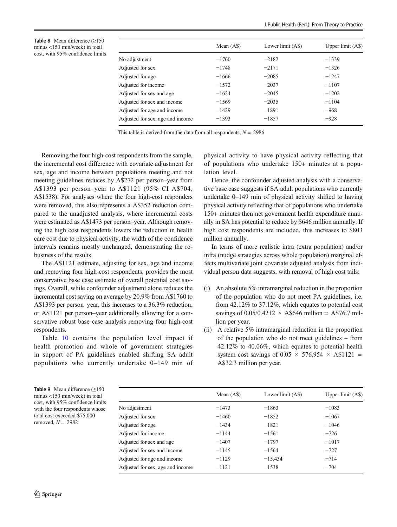<span id="page-7-0"></span>Table 8 Mean difference (≥150 minus <150 min/week) in total cost, with 95% confidence limits

|                                  | Mean (A\$) | Lower limit (A\$) | Upper $limit (As)$ |
|----------------------------------|------------|-------------------|--------------------|
| No adjustment                    | $-1760$    | $-2182$           | $-1339$            |
| Adjusted for sex                 | $-1748$    | $-2171$           | $-1326$            |
| Adjusted for age                 | $-1666$    | $-2085$           | $-1247$            |
| Adjusted for income              | $-1572$    | $-2037$           | $-1107$            |
| Adjusted for sex and age         | $-1624$    | $-2045$           | $-1202$            |
| Adjusted for sex and income      | $-1569$    | $-2035$           | $-1104$            |
| Adjusted for age and income      | $-1429$    | $-1891$           | $-968$             |
| Adjusted for sex, age and income | $-1393$    | $-1857$           | $-928$             |

This table is derived from the data from all respondents,  $N = 2986$ 

Removing the four high-cost respondents from the sample, the incremental cost difference with covariate adjustment for sex, age and income between populations meeting and not meeting guidelines reduces by A\$272 per person–year from A\$1393 per person–year to A\$1121 (95% CI A\$704, A\$1538). For analyses where the four high-cost responders were removed, this also represents a A\$352 reduction compared to the unadjusted analysis, where incremental costs were estimated as A\$1473 per person–year. Although removing the high cost respondents lowers the reduction in health care cost due to physical activity, the width of the confidence intervals remains mostly unchanged, demonstrating the robustness of the results.

The A\$1121 estimate, adjusting for sex, age and income and removing four high-cost respondents, provides the most conservative base case estimate of overall potential cost savings. Overall, while confounder adjustment alone reduces the incremental cost saving on average by 20.9% from A\$1760 to A\$1393 per person–year, this increases to a 36.3% reduction, or A\$1121 per person–year additionally allowing for a conservative robust base case analysis removing four high-cost respondents.

Table [10](#page-8-0) contains the population level impact if health promotion and whole of government strategies in support of PA guidelines enabled shifting SA adult populations who currently undertake 0–149 min of

physical activity to have physical activity reflecting that of populations who undertake 150+ minutes at a population level.

Hence, the confounder adjusted analysis with a conservative base case suggests if SA adult populations who currently undertake 0–149 min of physical activity shifted to having physical activity reflecting that of populations who undertake 150+ minutes then net government health expenditure annually in SA has potential to reduce by \$646 million annually. If high cost respondents are included, this increases to \$803 million annually.

In terms of more realistic intra (extra population) and/or infra (nudge strategies across whole population) marginal effects multivariate joint covariate adjusted analysis from individual person data suggests, with removal of high cost tails:

- (i) An absolute 5% intramarginal reduction in the proportion of the population who do not meet PA guidelines, i.e. from 42.12% to 37.12%, which equates to potential cost savings of 0.05/0.4212  $\times$  A\$646 million = A\$76.7 million per year.
- (ii) A relative 5% intramarginal reduction in the proportion of the population who do not meet guidelines – from 42.12% to 40.06%, which equates to potential health system cost savings of  $0.05 \times 576,954 \times$  A\$1121 = A\$32.3 million per year.

Table 9 Mean difference  $(≥150$ minus <150 min/week) in total cost, with 95% confidence limits with the four respondents whose total cost exceeded \$75,000 removed,  $N = 2982$ 

|                                  | Mean $(AS)$ | Lower limit (A\$) | Upper limit $(AS)$ |
|----------------------------------|-------------|-------------------|--------------------|
| No adjustment                    | $-1473$     | $-1863$           | $-1083$            |
| Adjusted for sex                 | $-1460$     | $-1852$           | $-1067$            |
| Adjusted for age                 | $-1434$     | $-1821$           | $-1046$            |
| Adjusted for income              | $-1144$     | $-1561$           | $-726$             |
| Adjusted for sex and age         | $-1407$     | $-1797$           | $-1017$            |
| Adjusted for sex and income      | $-1145$     | $-1564$           | $-727$             |
| Adjusted for age and income      | $-1129$     | $-15,434$         | $-714$             |
| Adjusted for sex, age and income | $-1121$     | $-1538$           | $-704$             |
|                                  |             |                   |                    |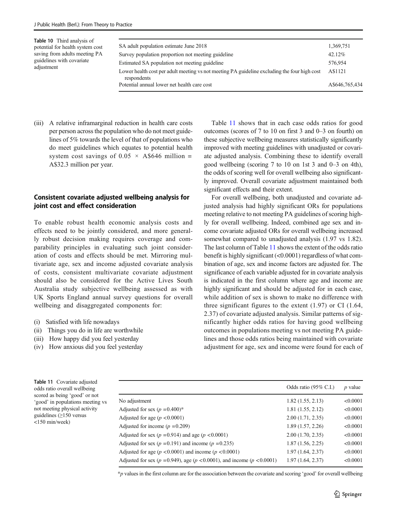<span id="page-8-0"></span>

| Table 10 Third analysis of<br>potential for health system cost | SA adult population estimate June 2018                                                                      | 1,369,751      |
|----------------------------------------------------------------|-------------------------------------------------------------------------------------------------------------|----------------|
| saving from adults meeting PA                                  | Survey population proportion not meeting guideline                                                          | 42.12%         |
| guidelines with covariate                                      | Estimated SA population not meeting guideline                                                               | 576,954        |
| adjustment                                                     | Lower health cost per adult meeting vs not meeting PA guideline excluding the four high cost<br>respondents | A\$1121        |
|                                                                | Potential annual lower net health care cost                                                                 | A\$646,765,434 |

(iii) A relative inframarginal reduction in health care costs per person across the population who do not meet guidelines of 5% towards the level of that of populations who do meet guidelines which equates to potential health system cost savings of  $0.05 \times$  A\$646 million = A\$32.3 million per year.

## Consistent covariate adjusted wellbeing analysis for joint cost and effect consideration

To enable robust health economic analysis costs and effects need to be jointly considered, and more generally robust decision making requires coverage and comparability principles in evaluating such joint consideration of costs and effects should be met. Mirroring multivariate age, sex and income adjusted covariate analysis of costs, consistent multivariate covariate adjustment should also be considered for the Active Lives South Australia study subjective wellbeing assessed as with UK Sports England annual survey questions for overall wellbeing and disaggregated components for:

- (i) Satisfied with life nowadays
- (ii) Things you do in life are worthwhile
- (iii) How happy did you feel yesterday
- (iv) How anxious did you feel yesterday

Table 11 shows that in each case odds ratios for good outcomes (scores of 7 to 10 on first 3 and 0–3 on fourth) on these subjective wellbeing measures statistically significantly improved with meeting guidelines with unadjusted or covariate adjusted analysis. Combining these to identify overall good wellbeing (scoring 7 to 10 on 1st 3 and 0–3 on 4th), the odds of scoring well for overall wellbeing also significantly improved. Overall covariate adjustment maintained both significant effects and their extent.

For overall wellbeing, both unadjusted and covariate adjusted analysis had highly significant ORs for populations meeting relative to not meeting PA guidelines of scoring highly for overall wellbeing. Indeed, combined age sex and income covariate adjusted ORs for overall wellbeing increased somewhat compared to unadjusted analysis (1.97 vs 1.82). The last column of Table 11 shows the extent of the odds ratio benefit is highly significant (<0.0001) regardless of what combination of age, sex and income factors are adjusted for. The significance of each variable adjusted for in covariate analysis is indicated in the first column where age and income are highly significant and should be adjusted for in each case, while addition of sex is shown to make no difference with three significant figures to the extent (1.97) or CI (1.64, 2.37) of covariate adjusted analysis. Similar patterns of significantly higher odds ratios for having good wellbeing outcomes in populations meeting vs not meeting PA guidelines and those odds ratios being maintained with covariate adjustment for age, sex and income were found for each of

| Table 11 Covariate adjusted      |  |  |  |  |  |
|----------------------------------|--|--|--|--|--|
| odds ratio overall wellbeing     |  |  |  |  |  |
| scored as being 'good' or not    |  |  |  |  |  |
| 'good' in populations meeting vs |  |  |  |  |  |
| not meeting physical activity    |  |  |  |  |  |
| guidelines $(\geq 150$ versus    |  |  |  |  |  |
| $<$ 150 min/week)                |  |  |  |  |  |

|                                                                                     | Odds ratio $(95\% \text{ C.I.})$ | $p$ value |
|-------------------------------------------------------------------------------------|----------------------------------|-----------|
| No adjustment                                                                       | 1.82(1.55, 2.13)                 | < 0.0001  |
| Adjusted for sex $(p = 0.400)^*$                                                    | 1.81(1.55, 2.12)                 | < 0.0001  |
| Adjusted for age ( $p < 0.0001$ )                                                   | 2.00(1.71, 2.35)                 | < 0.0001  |
| Adjusted for income $(p = 0.209)$                                                   | 1.89(1.57, 2.26)                 | < 0.0001  |
| Adjusted for sex ( $p = 0.914$ ) and age ( $p < 0.0001$ )                           | 2.00(1.70, 2.35)                 | < 0.0001  |
| Adjusted for sex ( $p = 0.191$ ) and income ( $p = 0.235$ )                         | 1.87(1.56, 2.25)                 | < 0.0001  |
| Adjusted for age ( $p < 0.0001$ ) and income ( $p < 0.0001$ )                       | 1.97(1.64, 2.37)                 | < 0.0001  |
| Adjusted for sex ( $p = 0.949$ ), age ( $p < 0.0001$ ), and income ( $p < 0.0001$ ) | 1.97(1.64, 2.37)                 | < 0.0001  |
|                                                                                     |                                  |           |

\*p values in the first column are for the association between the covariate and scoring 'good' for overall wellbeing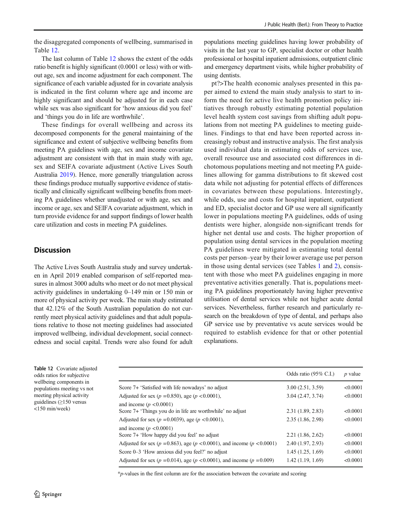the disaggregated components of wellbeing, summarised in Table 12.

The last column of Table 12 shows the extent of the odds ratio benefit is highly significant (0.0001 or less) with or without age, sex and income adjustment for each component. The significance of each variable adjusted for in covariate analysis is indicated in the first column where age and income are highly significant and should be adjusted for in each case while sex was also significant for 'how anxious did you feel' and 'things you do in life are worthwhile'.

These findings for overall wellbeing and across its decomposed components for the general maintaining of the significance and extent of subjective wellbeing benefits from meeting PA guidelines with age, sex and income covariate adjustment are consistent with that in main study with age, sex and SEIFA covariate adjustment (Active Lives South Australia [2019](#page-14-0)). Hence, more generally triangulation across these findings produce mutually supportive evidence of statistically and clinically significant wellbeing benefits from meeting PA guidelines whether unadjusted or with age, sex and income or age, sex and SEIFA covariate adjustment, which in turn provide evidence for and support findings of lower health care utilization and costs in meeting PA guidelines.

# **Discussion**

The Active Lives South Australia study and survey undertaken in April 2019 enabled comparison of self-reported measures in almost 3000 adults who meet or do not meet physical activity guidelines in undertaking 0–149 min or 150 min or more of physical activity per week. The main study estimated that 42.12% of the South Australian population do not currently meet physical activity guidelines and that adult populations relative to those not meeting guidelines had associated improved wellbeing, individual development, social connectedness and social capital. Trends were also found for adult populations meeting guidelines having lower probability of visits in the last year to GP, specialist doctor or other health professional or hospital inpatient admissions, outpatient clinic and emergency department visits, while higher probability of using dentists.

pt?>The health economic analyses presented in this paper aimed to extend the main study analysis to start to inform the need for active live health promotion policy initiatives through robustly estimating potential population level health system cost savings from shifting adult populations from not meeting PA guidelines to meeting guidelines. Findings to that end have been reported across increasingly robust and instructive analysis. The first analysis used individual data in estimating odds of services use, overall resource use and associated cost differences in dichotomous populations meeting and not meeting PA guidelines allowing for gamma distributions to fit skewed cost data while not adjusting for potential effects of differences in covariates between these populations. Interestingly, while odds, use and costs for hospital inpatient, outpatient and ED, specialist doctor and GP use were all significantly lower in populations meeting PA guidelines, odds of using dentists were higher, alongside non-significant trends for higher net dental use and costs. The higher proportion of population using dental services in the population meeting PA guidelines were mitigated in estimating total dental costs per person–year by their lower average use per person in those using dental services (see Tables [1](#page-2-0) and [2](#page-3-0)), consistent with those who meet PA guidelines engaging in more preventative activities generally. That is, populations meeting PA guidelines proportionately having higher preventive utilisation of dental services while not higher acute dental services. Nevertheless, further research and particularly research on the breakdown of type of dental, and perhaps also GP service use by preventative vs acute services would be required to establish evidence for that or other potential explanations.

Table 12 Covariate adjusted odds ratios for subjective wellbeing components in populations meeting vs not meeting physical activity guidelines (≥150 versus <150 min/week)

|                                                                                          | Odds ratio $(95\% \text{ C.I.})$ | <i>p</i> value |
|------------------------------------------------------------------------------------------|----------------------------------|----------------|
| Score 7+ 'Satisfied with life nowadays' no adjust                                        | 3.00(2.51, 3.59)                 | < 0.0001       |
| Adjusted for sex ( $p = 0.850$ ), age ( $p < 0.0001$ ),                                  | 3.04(2.47, 3.74)                 | < 0.0001       |
| and income ( $p < 0.0001$ )<br>Score 7+ 'Things you do in life are worthwhile' no adjust | 2.31(1.89, 2.83)                 | < 0.0001       |
| Adjusted for sex ( $p = 0.0039$ ), age ( $p < 0.0001$ ),                                 | 2.35(1.86, 2.98)                 | < 0.0001       |
| and income ( $p < 0.0001$ )<br>Score 7+ 'How happy did you feel' no adjust               | 2.21(1.86, 2.62)                 | < 0.0001       |
| Adjusted for sex ( $p = 0.863$ ), age ( $p < 0.0001$ ), and income ( $p < 0.0001$ )      | 2.40(1.97, 2.93)                 | < 0.0001       |
| Score $0-3$ 'How anxious did you feel?' no adjust                                        | 1.45(1.25, 1.69)                 | < 0.0001       |
| Adjusted for sex ( $p = 0.014$ ), age ( $p < 0.0001$ ), and income ( $p = 0.009$ )       | 1.42(1.19, 1.69)                 | < 0.0001       |

\*p-values in the first column are for the association between the covariate and scoring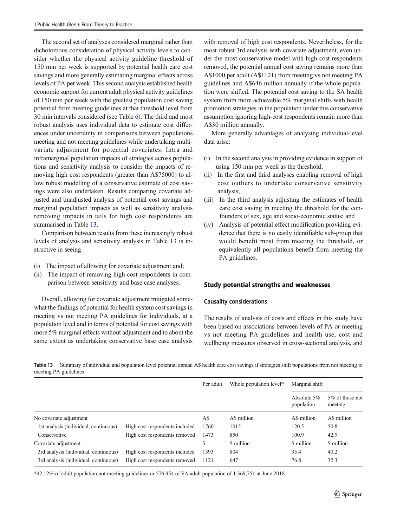The second set of analyses considered marginal rather than dichotomous consideration of physical activity levels to consider whether the physical activity guideline threshold of 150 min per week is supported by potential health care cost savings and more generally estimating marginal effects across levels of PA per week. This second analysis established health economic support for current adult physical activity guidelines of 150 min per week with the greatest population cost saving potential from meeting guidelines at that threshold level from 30 min intervals considered (see Table [6\)](#page-6-0). The third and most robust analysis uses individual data to estimate cost differences under uncertainty in comparisons between populations meeting and not meeting guidelines while undertaking multivariate adjustment for potential covariates. Intra and inframarginal population impacts of strategies across populations and sensitivity analysis to consider the impacts of removing high cost respondents (greater than A\$75000) to allow robust modelling of a conservative estimate of cost savings were also undertaken. Results comparing covariate adjusted and unadjusted analysis of potential cost savings and marginal population impacts as well as sensitivity analysis removing impacts in tails for high cost respondents are summarised in Table 13.

Comparison between results from these increasingly robust levels of analysis and sensitivity analysis in Table 13 is instructive in seeing

- (i) The impact of allowing for covariate adjustment and;
- (ii) The impact of removing high cost respondents in comparison between sensitivity and base case analyses.

Overall, allowing for covariate adjustment mitigated somewhat the findings of potential for health system cost savings in meeting vs not meeting PA guidelines for individuals, at a population level and in terms of potential for cost savings with more 5% marginal effects without adjustment and to about the same extent as undertaking conservative base case analysis

with removal of high cost respondents. Nevertheless, for the most robust 3rd analysis with covariate adjustment, even under the most conservative model with high-cost respondents removed, the potential annual cost saving remains more than A\$1000 per adult (A\$1121) from meeting vs not meeting PA guidelines and A\$646 million annually if the whole population were shifted. The potential cost saving to the SA health system from more achievable 5% marginal shifts with health promotion strategies in the population under this conservative assumption ignoring high-cost respondents remain more than A\$30 million annually.

More generally advantages of analysing individual-level data arise:

- (i) In the second analysis in providing evidence in support of using 150 min per week as the threshold;
- (ii) In the first and third analyses enabling removal of high cost outliers to undertake conservative sensitivity analysis;
- (iii) In the third analysis adjusting the estimates of health care cost saving in meeting the threshold for the confounders of sex, age and socio-economic status; and
- (iv) Analysis of potential effect modification providing evidence that there is no easily identifiable sub-group that would benefit most from meeting the threshold, or equivalently all populations benefit from meeting the PA guidelines.

#### Study potential strengths and weaknesses

#### Causality considerations

The results of analysis of costs and effects in this study have been based on associations between levels of PA or meeting vs not meeting PA guidelines and health use, cost and wellbeing measures observed in cross-sectional analysis, and

Table 13 Summary of individual and population level potential annual A\$ health care cost savings if strategies shift populations from not meeting to meeting PA guidelines

|                                       |                                | Per adult | Whole population level* | Marginal shift               |                            |
|---------------------------------------|--------------------------------|-----------|-------------------------|------------------------------|----------------------------|
|                                       |                                |           |                         | Absolute $5\%$<br>population | 5% of those not<br>meeting |
| No covariate adjustment               |                                | A\$       | A\$ million             | A\$ million                  | A\$ million                |
| 1st analysis (individual, continuous) | High cost respondents included | 1760      | 1015                    | 120.5                        | 50.8                       |
| Conservative                          | High cost respondents removed  | 1473      | 850                     | 100.9                        | 42.9                       |
| Covariate adjustment                  |                                | \$        | \$ million              | \$ million                   | \$ million                 |
| 3rd analysis (individual, continuous) | High cost respondents included | 1393      | 804                     | 95.4                         | 40.2                       |
| 3rd analysis (individual, continuous) | High cost respondents removed  | 1121      | 647                     | 76.8                         | 32.3                       |

\*42.12% of adult population not meeting guidelines or 576,954 of SA adult population of 1,369,751 at June 2018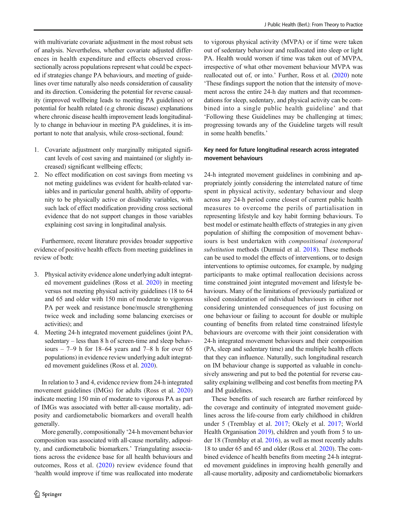with multivariate covariate adjustment in the most robust sets of analysis. Nevertheless, whether covariate adjusted differences in health expenditure and effects observed crosssectionally across populations represent what could be expected if strategies change PA behaviours, and meeting of guidelines over time naturally also needs consideration of causality and its direction. Considering the potential for reverse causality (improved wellbeing leads to meeting PA guidelines) or potential for health related (e.g chronic disease) explanations where chronic disease health improvement leads longitudinally to change in behaviour in meeting PA guidelines, it is important to note that analysis, while cross-sectional, found:

- 1. Covariate adjustment only marginally mitigated significant levels of cost saving and maintained (or slightly increased) significant wellbeing effects;
- 2. No effect modification on cost savings from meeting vs not meting guidelines was evident for health-related variables and in particular general health, ability of opportunity to be physically active or disability variables, with such lack of effect modification providing cross sectional evidence that do not support changes in those variables explaining cost saving in longitudinal analysis.

Furthermore, recent literature provides broader supportive evidence of positive health effects from meeting guidelines in review of both:

- 3. Physical activity evidence alone underlying adult integrated movement guidelines (Ross et al. [2020](#page-15-0)) in meeting versus not meeting physical activity guidelines (18 to 64 and 65 and older with 150 min of moderate to vigorous PA per week and resistance bone/muscle strengthening twice week and including some balancing exercises or activities); and
- 4. Meeting 24-h integrated movement guidelines (joint PA, sedentary – less than 8 h of screen-time and sleep behaviours –  $7-9$  h for 18–64 years and  $7-8$  h for over 65 populations) in evidence review underlying adult integrated movement guidelines (Ross et al. [2020\)](#page-15-0).

In relation to 3 and 4, evidence review from 24-h integrated movement guidelines (IMGs) for adults (Ross et al. [2020\)](#page-15-0) indicate meeting 150 min of moderate to vigorous PA as part of IMGs was associated with better all-cause mortality, adiposity and cardiometabolic biomarkers and overall health generally.

More generally, compositionally '24-h movement behavior composition was associated with all-cause mortality, adiposity, and cardiometabolic biomarkers.' Triangulating associations across the evidence base for all health behaviours and outcomes, Ross et al. ([2020](#page-15-0)) review evidence found that 'health would improve if time was reallocated into moderate

to vigorous physical activity (MVPA) or if time were taken out of sedentary behaviour and reallocated into sleep or light PA. Health would worsen if time was taken out of MVPA, irrespective of what other movement behaviour MVPA was reallocated out of, or into.' Further, Ross et al. [\(2020\)](#page-15-0) note 'These findings support the notion that the intensity of movement across the entire 24-h day matters and that recommendations for sleep, sedentary, and physical activity can be combined into a single public health guideline' and that 'Following these Guidelines may be challenging at times; progressing towards any of the Guideline targets will result in some health benefits.'

## Key need for future longitudinal research across integrated movement behaviours

24-h integrated movement guidelines in combining and appropriately jointly considering the interrelated nature of time spent in physical activity, sedentary behaviour and sleep across any 24-h period come closest of current public health measures to overcome the perils of partialisation in representing lifestyle and key habit forming behaviours. To best model or estimate health effects of strategies in any given population of shifting the composition of movement behaviours is best undertaken with compositional isotemporal substitution methods (Dumuid et al. [2018\)](#page-14-0). These methods can be used to model the effects of interventions, or to design interventions to optimise outcomes, for example, by nudging participants to make optimal reallocation decisions across time constrained joint integrated movement and lifestyle behaviours. Many of the limitations of previously partialized or siloed consideration of individual behaviours in either not considering unintended consequences of just focusing on one behaviour or failing to account for double or multiple counting of benefits from related time constrained lifestyle behaviours are overcome with their joint consideration with 24-h integrated movement behaviours and their composition (PA, sleep and sedentary time) and the multiple health effects that they can influence. Naturally, such longitudinal research on IM behaviour change is supported as valuable in conclusively answering and put to bed the potential for reverse causality explaining wellbeing and cost benefits from meeting PA and IM guidelines.

These benefits of such research are further reinforced by the coverage and continuity of integrated movement guidelines across the life-course from early childhood in children under 5 (Tremblay et al. [2017](#page-16-0); Okely et al. [2017](#page-15-0); World Health Organisation [2019\)](#page-16-0), children and youth from 5 to under 18 (Tremblay et al. [2016\)](#page-15-0), as well as most recently adults 18 to under 65 and 65 and older (Ross et al. [2020\)](#page-15-0). The combined evidence of health benefits from meeting 24-h integrated movement guidelines in improving health generally and all-cause mortality, adiposity and cardiometabolic biomarkers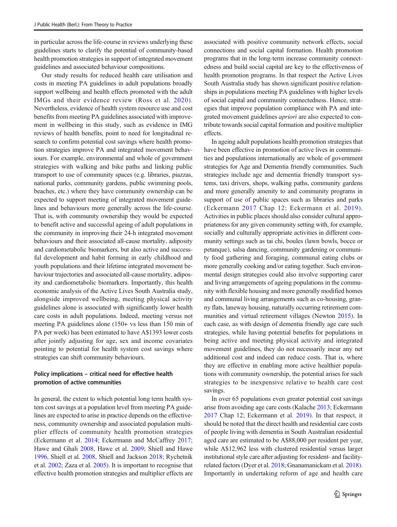in particular across the life-course in reviews underlying these guidelines starts to clarify the potential of community-based health promotion strategies in support of integrated movement guidelines and associated behaviour compositions.

Our study results for reduced health care utilisation and costs in meeting PA guidelines in adult populations broadly support wellbeing and health effects promoted with the adult IMGs and their evidence review (Ross et al. [2020\)](#page-15-0). Nevertheless, evidence of health system resource use and cost benefits from meeting PA guidelines associated with improvement in wellbeing in this study, such as evidence in IMG reviews of health benefits, point to need for longitudinal research to confirm potential cost savings where health promotion strategies improve PA and integrated movement behaviours. For example, environmental and whole of government strategies with walking and bike paths and linking public transport to use of community spaces (e.g. libraries, piazzas, national parks, community gardens, public swimming pools, beaches, etc.) where they have community ownership can be expected to support meeting of integrated movement guidelines and behaviours more generally across the life-course. That is, with community ownership they would be expected to benefit active and successful ageing of adult populations in the community in improving their 24-h integrated movement behaviours and their associated all-cause mortality, adiposity and cardiometabolic biomarkers, but also active and successful development and habit forming in early childhood and youth populations and their lifetime integrated movement behaviour trajectories and associated all-cause mortality, adiposity and cardiometabolic biomarkers. Importantly, this health economic analysis of the Active Lives South Australia study, alongside improved wellbeing, meeting physical activity guidelines alone is associated with significantly lower health care costs in adult populations. Indeed, meeting versus not meeting PA guidelines alone (150+ vs less than 150 min of PA per week) has been estimated to have A\$1393 lower costs after jointly adjusting for age, sex and income covariates pointing to potential for health system cost savings where strategies can shift community behaviours.

## Policy implications – critical need for effective health promotion of active communities

In general, the extent to which potential long term health system cost savings at a population level from meeting PA guidelines are expected to arise in practice depends on the effectiveness, community ownership and associated population multiplier effects of community health promotion strategies (Eckermann et al. [2014;](#page-15-0) Eckermann and McCaffrey [2017](#page-15-0); Hawe and Ghali [2008](#page-15-0), Hawe et al. [2009;](#page-15-0) Shiell and Hawe [1996,](#page-15-0) Shiell et al. [2008,](#page-15-0) Shiell and Jackson [2018;](#page-15-0) Rychetnik et al. [2002;](#page-15-0) Zaza et al. [2005](#page-16-0)). It is important to recognise that effective health promotion strategies and multiplier effects are

associated with positive community network effects, social connections and social capital formation. Health promotion programs that in the long-term increase community connectedness and build social capital are key to the effectiveness of health promotion programs. In that respect the Active Lives South Australia study has shown significant positive relationships in populations meeting PA guidelines with higher levels of social capital and community connectedness. Hence, strategies that improve population compliance with PA and integrated movement guidelines apriori are also expected to contribute towards social capital formation and positive multiplier effects.

In ageing adult populations health promotion strategies that have been effective in promotion of active lives in communities and populations internationally are whole of government strategies for Age and Dementia friendly communities. Such strategies include age and dementia friendly transport systems, taxi drivers, shops, walking paths, community gardens and more generally amenity to and community programs in support of use of public spaces such as libraries and parks (Eckermann [2017](#page-14-0) Chap 12; Eckermann et al. [2019](#page-15-0)). Activities in public places should also consider cultural appropriateness for any given community setting with, for example, socially and culturally appropriate activities in different community settings such as tai chi, boules (lawn bowls, bocce or petanque), salsa dancing, community gardening or community food gathering and foraging, communal eating clubs or more generally cooking and/or eating together. Such environmental design strategies could also involve supporting carer and living arrangements of ageing populations in the community with flexible housing and more generally modified homes and communal living arrangements such as co-housing, granny flats, laneway housing, naturally occurring retirement communities and virtual retirement villages (Newton [2015\)](#page-15-0). In each case, as with design of dementia friendly age care such strategies, while having potential benefits for populations in being active and meeting physical activity and integrated movement guidelines, they do not necessarily incur any net additional cost and indeed can reduce costs. That is, where they are effective in enabling more active healthier populations with community ownership, the potential arises for such strategies to be inexpensive relative to health care cost savings.

In over 65 populations even greater potential cost savings arise from avoiding age care costs (Kalache [2013](#page-15-0); Eckermann [2017](#page-14-0) Chap 12; Eckermann et al. [2019](#page-15-0)). In that respect, it should be noted that the direct health and residential care costs of people living with dementia in South Australian residential aged care are estimated to be A\$88,000 per resident per year, while A\$12,962 less with clustered residential versus larger institutional style care after adjusting for resident- and facilityrelated factors (Dyer et al. [2018;](#page-14-0) Gnanamanickam et al. [2018\)](#page-15-0). Importantly in undertaking reform of age and health care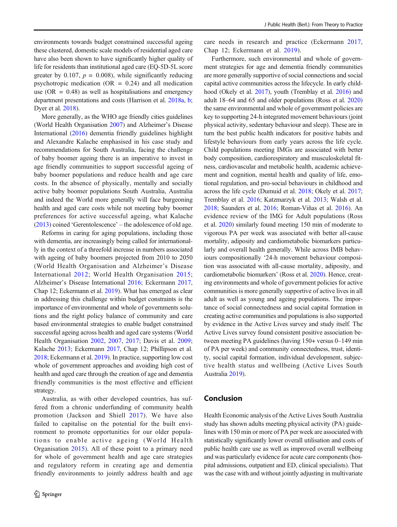environments towards budget constrained successful ageing these clustered, domestic scale models of residential aged care have also been shown to have significantly higher quality of life for residents than institutional aged care (EQ-5D-5L score greater by 0.107,  $p = 0.008$ ), while significantly reducing psychotropic medication ( $OR = 0.24$ ) and all medication use ( $OR = 0.48$ ) as well as hospitalisations and emergency department presentations and costs (Harrison et al. [2018a](#page-15-0), [b](#page-15-0); Dyer et al. [2018](#page-14-0)).

More generally, as the WHO age friendly cities guidelines (World Health Organisation [2007](#page-16-0)) and Alzheimer's Disease International [\(2016\)](#page-14-0) dementia friendly guidelines highlight and Alexandre Kalache emphasised in his case study and recommendations for South Australia, facing the challenge of baby boomer ageing there is an imperative to invest in age friendly communities to support successful ageing of baby boomer populations and reduce health and age care costs. In the absence of physically, mentally and socially active baby boomer populations South Australia, Australia and indeed the World more generally will face burgeoning health and aged care costs while not meeting baby boomer preferences for active successful ageing, what Kalache [\(2013\)](#page-15-0) coined 'Gerentolescence' – the adolescence of old age.

Reforms in caring for aging populations, including those with dementia, are increasingly being called for internationally in the context of a threefold increase in numbers associated with ageing of baby boomers projected from 2010 to 2050 (World Health Organisation and Alzheimer's Disease International [2012;](#page-16-0) World Health Organisation [2015](#page-16-0); Alzheimer's Disease International [2016;](#page-14-0) Eckermann [2017,](#page-14-0) Chap 12; Eckermann et al. [2019\)](#page-15-0). What has emerged as clear in addressing this challenge within budget constraints is the importance of environmental and whole of governments solutions and the right policy balance of community and care based environmental strategies to enable budget constrained successful ageing across health and aged care systems (World Health Organisation [2002](#page-16-0), [2007](#page-16-0), [2017;](#page-16-0) Davis et al. [2009](#page-14-0); Kalache [2013](#page-15-0); Eckermann [2017,](#page-14-0) Chap 12; Phillipson et al. [2018;](#page-15-0) Eckermann et al. [2019](#page-15-0)). In practice, supporting low cost whole of government approaches and avoiding high cost of health and aged care through the creation of age and dementia friendly communities is the most effective and efficient strategy.

Australia, as with other developed countries, has suffered from a chronic underfunding of community health promotion (Jackson and Shiell [2017](#page-15-0)). We have also failed to capitalise on the potential for the built environment to promote opportunities for our older populations to enable active ageing (World Health Organisation [2015](#page-16-0)). All of these point to a primary need for whole of government health and age care strategies and regulatory reform in creating age and dementia friendly environments to jointly address health and age care needs in research and practice (Eckermann [2017,](#page-14-0) Chap 12; Eckermann et al. [2019](#page-15-0)).

Furthermore, such environmental and whole of government strategies for age and dementia friendly communities are more generally supportive of social connections and social capital active communities across the lifecycle. In early childhood (Okely et al. [2017](#page-15-0)), youth (Tremblay et al. [2016\)](#page-15-0) and adult 18–64 and 65 and older populations (Ross et al. [2020](#page-15-0)) the same environmental and whole of government policies are key to supporting 24-h integrated movement behaviours (joint physical activity, sedentary behaviour and sleep). These are in turn the best public health indicators for positive habits and lifestyle behaviours from early years across the life cycle. Child populations meeting IMGs are associated with better body composition, cardiorespiratory and musculoskeletal fitness, cardiovascular and metabolic health, academic achievement and cognition, mental health and quality of life, emotional regulation, and pro-social behaviours in childhood and across the life cycle (Dumuid et al. [2018](#page-14-0); Okely et al. [2017;](#page-15-0) Tremblay et al. [2016](#page-15-0); Katzmarzyk et al. [2013;](#page-15-0) Walsh et al. [2018;](#page-16-0) Saunders et al. [2016](#page-15-0); Roman-Viñas et al. [2016\)](#page-15-0). An evidence review of the IMG for Adult populations (Ross et al. [2020\)](#page-15-0) similarly found meeting 150 min of moderate to vigorous PA per week was associated with better all-cause mortality, adiposity and cardiometabolic biomarkers particularly and overall health generally. While across IMB behaviours compositionally '24-h movement behaviour composition was associated with all-cause mortality, adiposity, and cardiometabolic biomarkers' (Ross et al. [2020\)](#page-15-0). Hence, creating environments and whole of government policies for active communities is more generally supportive of active lives in all adult as well as young and ageing populations. The importance of social connectedness and social capital formation in creating active communities and populations is also supported by evidence in the Active Lives survey and study itself. The Active Lives survey found consistent positive association between meeting PA guidelines (having 150+ versus 0–149 min of PA per week) and community connectedness, trust, identity, social capital formation, individual development, subjective health status and wellbeing (Active Lives South Australia [2019\)](#page-14-0).

## Conclusion

Health Economic analysis of the Active Lives South Australia study has shown adults meeting physical activity (PA) guidelines with 150 min or more of PA per week are associated with statistically significantly lower overall utilisation and costs of public health care use as well as improved overall wellbeing and was particularly evidence for acute care components (hospital admissions, outpatient and ED, clinical specialists). That was the case with and without jointly adjusting in multivariate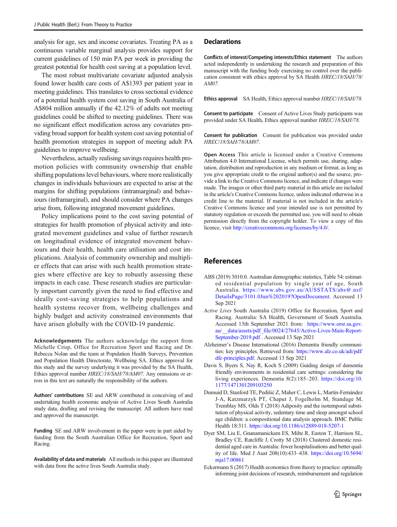<span id="page-14-0"></span>analysis for age, sex and income covariates. Treating PA as a continuous variable marginal analysis provides support for current guidelines of 150 min PA per week in providing the greatest potential for health cost saving at a population level.

The most robust multivariate covariate adjusted analysis found lower health care costs of A\$1393 per patient year in meeting guidelines. This translates to cross sectional evidence of a potential health system cost saving in South Australia of A\$804 million annually if the 42.12% of adults not meeting guidelines could be shifted to meeting guidelines. There was no significant effect modification across any covariates providing broad support for health system cost saving potential of health promotion strategies in support of meeting adult PA guidelines to improve wellbeing.

Nevertheless, actually realising savings requires health promotion policies with community ownership that enable shifting populations level behaviours, where more realistically changes in individuals behaviours are expected to arise at the margins for shifting populations (intramarginal) and behaviours (inframarginal), and should consider where PA changes arise from, following integrated movement guidelines.

Policy implications point to the cost saving potential of strategies for health promotion of physical activity and integrated movement guidelines and value of further research on longitudinal evidence of integrated movement behaviours and their health, health care utilisation and cost implications. Analysis of community ownership and multiplier effects that can arise with such health promotion strategies where effective are key to robustly assessing these impacts in each case. These research studies are particularly important currently given the need to find effective and ideally cost-saving strategies to help populations and health systems recover from, wellbeing challenges and highly budget and activity constrained environments that have arisen globally with the COVID-19 pandemic.

Acknowledgements The authors acknowledge the support from Michelle Crisp, Office for Recreation Sport and Racing and Dr. Rebecca Nolan and the team at Population Health Surveys, Prevention and Population Health Directorate, Wellbeing SA. Ethics approval for this study and the survey underlying it was provided by the SA Health, Ethics approval number HREC/18/SAH/78/AM07. Any omissions or errors in this text are naturally the responsibility of the authors.

Authors' contributions SE and ARW contributed in conceiving of and undertaking health economic analysis of Active Lives South Australia study data, drafting and revising the manuscript. All authors have read and approved the manuscript.

Funding SE and ARW involvement in the paper were in part aided by funding from the South Australian Office for Recreation, Sport and Racing.

Availability of data and materials All methods in this paper are illustrated with data from the active lives South Australia study.

#### **Declarations**

Conflicts of interest/Competing interests/Ethics statement The authors acted independently in undertaking the research and preparation of this manuscript with the funding body exercising no control over the publication consistent with ethics approval by SA Health HREC/18/SAH/78/ AM07.

Ethics approval SA Health, Ethics approval number HREC/18/SAH/78.

Consent to participate Consent of Active Lives Study participants was provided under SA Health, Ethics approval number HREC/18/SAH/78.

Consent for publication Consent for publication was provided under HREC/18/SAH/78/AM07.

Open Access This article is licensed under a Creative Commons Attribution 4.0 International License, which permits use, sharing, adaptation, distribution and reproduction in any medium or format, as long as you give appropriate credit to the original author(s) and the source, provide a link to the Creative Commons licence, and indicate if changes were made. The images or other third party material in this article are included in the article's Creative Commons licence, unless indicated otherwise in a credit line to the material. If material is not included in the article's Creative Commons licence and your intended use is not permitted by statutory regulation or exceeds the permitted use, you will need to obtain permission directly from the copyright holder. To view a copy of this licence, visit <http://creativecommons.org/licenses/by/4.0/>.

## References

- ABS (2019) 3010.0. Australian demographic statistics, Table 54: estimated residential population by single year of age, South Australia. [https://www.abs.gov.au/AUSSTATS/abs@.nsf/](https://www.abs.gov.au/AUSSTATS/abs@.nsf/DetailsPage/3101.0Jun%202019?OpenDocument) [DetailsPage/3101.0Jun%202019?OpenDocument](https://www.abs.gov.au/AUSSTATS/abs@.nsf/DetailsPage/3101.0Jun%202019?OpenDocument). Accessed 13 Sep 2021
- Active Lives South Australia (2019) Office for Recreation, Sport and Racing. Australia: SA Health, Government of South Australia. Accessed 13th September 2021 from: [https://www.orsr.sa.gov.](https://www.orsr.sa.gov.au/__data/assets/pdf_file/0024/27645/Active-Lives-Main-Report-September-2019.pdf) au/ data/assets/pdf\_file/0024/27645/Active-Lives-Main-Report-[September-2019.pdf](https://www.orsr.sa.gov.au/__data/assets/pdf_file/0024/27645/Active-Lives-Main-Report-September-2019.pdf) . Accessed 13 Sep 2021
- Alzheimer's Disease International (2016) Dementia friendly communities: key principles. Retrieved from: [https://www.alz.co.uk/adi/pdf/](https://www.alz.co.uk/adi/pdf/dfc-principles.pdf) [dfc-principles.pdf](https://www.alz.co.uk/adi/pdf/dfc-principles.pdf). Accessed 13 Sep 2021
- Davis S, Byers S, Nay R, Koch S (2009) Guiding design of dementia friendly environments in residential care settings: considering the living experiences. Dementia 8(2):185–203. [https://doi.org/10.](https://doi.org/10.1177/1471301209103250) [1177/1471301209103250](https://doi.org/10.1177/1471301209103250)
- Dumuid D, Stanford TE, Pedišić Z, Maher C, Lewis L, Martín-Fernández J-A, Katzmarzyk PT, Chaput J, Fogelholm M, Standage M, Tremblay MS, Olds T (2018) Adiposity and the isotemporal substitution of physical activity, sedentary time and sleep amongst school age children: a compositional data analysis approach. BMC Public Health 18:311. <https://doi.org/10.1186/s12889-018-5207-1>
- Dyer SM, Liu E, Gnanamanickam ES, Milte R, Easton T, Harrison SL, Bradley CE, Ratcliffe J, Crotty M (2018) Clustered domestic residential aged care in Australia: fewer hospitalisations and better quality of life. Med J Aust 208(10):433–438. [https://doi.org/10.5694/](https://doi.org/10.5694/mja17.00861) [mja17.00861](https://doi.org/10.5694/mja17.00861)
- Eckermann S (2017) Health economics from theory to practice: optimally informing joint decisions of research, reimbursement and regulation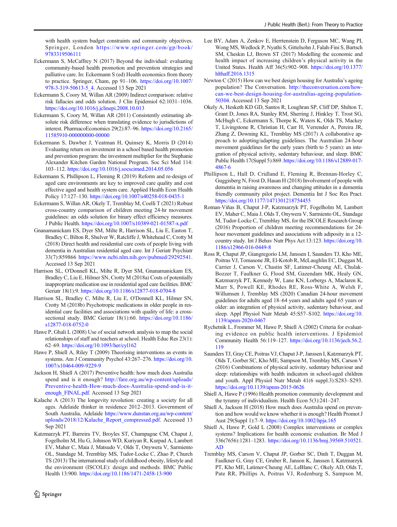<span id="page-15-0"></span>with health system budget constraints and community objectives. Springer, London [https://www.springer.com/gp/book/](https://www.springer.com/gp/book/9783319506111) [9783319506111](https://www.springer.com/gp/book/9783319506111)

- Eckermann S, McCaffrey N (2017) Beyond the individual: evaluating community-based health promotion and prevention strategies and palliative care. In: Eckermann S (ed) Health economics from theory to practice. Springer, Cham, pp 91–106. [https://doi.org/10.1007/](https://doi.org/10.1007/978-3-319-50613-5_4) [978-3-319-50613-5\\_4.](https://doi.org/10.1007/978-3-319-50613-5_4) Accessed 13 Sep 2021
- Eckermann S, Coory M, Willan AR (2009) Indirect comparison: relative risk fallacies and odds solution. J Clin Epidemiol 62:1031–1036. <https://doi.org/10.1016/j.jclinepi.2008.10.013>
- Eckermann S, Coory M, Willan AR (2011) Consistently estimating absolute risk difference when translating evidence to jurisdictions of interest. PharmacoEconomics 29(2):87–96. [https://doi.org/10.2165/](https://doi.org/10.2165/11585910-000000000-00000) [11585910-000000000-00000](https://doi.org/10.2165/11585910-000000000-00000)
- Eckermann S, Dawber J, Yeatman H, Quinsey K, Morris D (2014) Evaluating return on investment in a school based health promotion and prevention program: the investment multiplier for the Stephanie Alexander Kitchen Garden National Program. Soc Sci Med 114: 103–112. <https://doi.org/10.1016/j.socscimed.2014.05.056>
- Eckermann S, Phillipson L, Fleming R (2019) Reform and re-design of aged care environments are key to improved care quality and cost effective aged and health system care. Applied Health Econ Health Policy 17:127–130. <https://doi.org/10.1007/s40258-018-0435-1>
- Eckermann S, Willan AR, Okely T, Tremblay M, Coelli T (2021) Robust cross-country comparison of children meeting 24-hr movement guidelines: an odds solution for binary effect efficiency measures. J Public Health. <https://doi.org/10.1007/s10389-021-01587-x.pdf>
- Gnanamanickam ES, Dyer SM, Milte R, Harrison SL, Liu E, Easton T, Bradley C, Bilton R, Shulver W, Ratcliffe J, Whitehead C, Crotty M (2018) Direct health and residential care costs of people living with dementia in Australian residential aged care. Int J Geriatr Psychiatr 33(7):859866 [https://www.ncbi.nlm.nih.gov/pubmed/29292541.](https://www.ncbi.nlm.nih.gov/pubmed/29292541) Accessed 13 Sep 2021
- Harrison SL, O'Donnell KL, Milte R, Dyer SM, Gnanamanickam ES, Bradley C, Liu E, Hilmer SN, Crotty M (2018a) Costs of potentially inappropriate medication use in residential aged care facilities. BMC Geriatr 18(1):9. <https://doi.org/10.1186/s12877-018-0704-8>
- Harrison SL, Bradley C, Milte R, Liu E, O'Donnell KL, Hilmer SN, Crotty M (2018b) Psychotropic medications in older people in residential care facilities and associations with quality of life: a crosssectional study. BMC Geriatr 18(1):60. [https://doi.org/10.1186/](https://doi.org/10.1186/s12877-018-0752-0) [s12877-018-0752-0](https://doi.org/10.1186/s12877-018-0752-0)
- Hawe P, Ghali L (2008) Use of social network analysis to map the social relationships of staff and teachers at school. Health Educ Res 23(1): 62–69. <https://doi.org/10.1093/her/cyl162>
- Hawe P, Shiell A, Riley T (2009) Theorising interventions as events in systems. Am J Community Psychol 43:267–276. [https://doi.org/10.](https://doi.org/10.1007/s10464-009-9229-9) [1007/s10464-009-9229-9](https://doi.org/10.1007/s10464-009-9229-9)
- Jackson H, Shiell A (2017) Preventive health: how much does Australia spend and is it enough? [http://fare.org.au/wp-content/uploads/](http://fare.org.au/wp-content/uploads/Preventive-health-How-much-does-Australia-spend-and-is-it-enough_FINAL.pdf) [Preventive-health-How-much-does-Australia-spend-and-is-it](http://fare.org.au/wp-content/uploads/Preventive-health-How-much-does-Australia-spend-and-is-it-enough_FINAL.pdf)[enough\\_FINAL.pdf.](http://fare.org.au/wp-content/uploads/Preventive-health-How-much-does-Australia-spend-and-is-it-enough_FINAL.pdf) Accessed 13 Sep 2021
- Kalache A (2013) The longevity revolution: creating a society for all ages. Adelaide thinker in residence 2012–2013. Government of South Australia, Adelaide [https://www.dunstan.org.au/wp-content/](https://www.dunstan.org.au/wp-content/uploads/2018/12/Kalache_Report_compressed.pdf) [uploads/2018/12/Kalache\\_Report\\_compressed.pdf.](https://www.dunstan.org.au/wp-content/uploads/2018/12/Kalache_Report_compressed.pdf) Accessed 13 Sep 2021
- Katzmarzyk PT, Barreira TV, Broyles ST, Champagne CM, Chaput J, Fogelholm M, Hu G, Johnson WD, Kuriyan R, Kurpad A, Lambert EV, Maher C, Maia J, Matsudo V, Olds T, Onywera V, Sarmiento OL, Standage M, Tremblay MS, Tudor-Locke C, Zhao P, Church TS (2013) The international study of childhood obesity, lifestyle and the environment (ISCOLE): design and methods. BMC Public Health 13:900. <https://doi.org/10.1186/1471-2458-13-900>
- Lee BY, Adam A, Zenkov E, Herrtenstein D, Ferguson MC, Wang PI, Wong MS, Wedlock P, Nyathi S, Gittelsohn J, Falah-Fini S, Bartsch SM, Cheskin LJ, Brown ST (2017) Modelling the economic and health impact of increasing children's physical activity in the United States. Health Aff 36(5):902–908. [https://doi.org/10.1377/](https://doi.org/10.1377/hlthaff.2016.1315) [hlthaff.2016.1315](https://doi.org/10.1377/hlthaff.2016.1315)
- Newton C (2015) How can we best design housing for Australia's ageing population? The Conversation. [http://theconversation.com/how](http://theconversation.com/how-can-we-best-design-housing-for-australias-ageing-population-50304)[can-we-best-design-housing-for-australias-ageing-population-](http://theconversation.com/how-can-we-best-design-housing-for-australias-ageing-population-50304)[50304.](http://theconversation.com/how-can-we-best-design-housing-for-australias-ageing-population-50304) Accessed 13 Sep 2021
- Okely A, Hesketh KD GD, Santos R, Loughran SP, Cliff DP, Shilton T, Grant D, Jones RA, Stanley RM, Sherring J, Hinkley T, Trost SG, McHugh C, Eckermann S, Thorpe K, Waters K, Olds TS, Mackey T, Livingstone R, Christian H, Carr H, Verrender A, Pereira JR, Zhang Z, Downing KL, Tremblay MS (2017) A collaborative approach to adopting/adapting guidelines. The Australian 24-hour movement guidelines for the early years (birth to 5 years): an integration of physical activity, sedentary behaviour, and sleep. BMC Public Health 17(Suppl 5):869. [https://doi.org/10.1186/s12889-017-](https://doi.org/10.1186/s12889-017-4867-6) [4867-6](https://doi.org/10.1186/s12889-017-4867-6)
- Phillipson L, Hall D, Cridland E, Fleming R, Brennan-Horley C, Guggisberg N, Frost D, Hasan H (2018) Involvement of people with dementia in raising awareness and changing attitudes in a dementia friendly community pilot project. Dementia Int J Soc Res Pract. <https://doi.org/10.1177/1471301218754455>
- Roman-Viñas B, Chaput J-P, Katzmarzyk PT, Fogelholm M, Lambert EV, Maher C, Maia J, Olds T, Onywera V, Sarmiento OL, Standage M, Tudor-Locke C, Tremblay MS, for the ISCOLE Research Group (2016) Proportion of children meeting recommendations for 24 hour movement guidelines and associations with adiposity in a 12 country study. Int J Behav Nutr Phys Act 13:123. [https://doi.org/10.](https://doi.org/10.1186/s12966-016-0449-8) [1186/s12966-016-0449-8](https://doi.org/10.1186/s12966-016-0449-8)
- Ross R, Chaput JP, Giangregorio LM, Janssen I, Saunders TJ, Kho ME, Poitras VJ, Tomasone JR, El-Kotob R, McLaughlin EC, Duggan M, Carrier J, Carson V, Chastin SF, Latimer-Cheung AE, Chulak-Bozzer T, Faulkner G, Flood SM, Gazendam MK, Healy GN, Katzmarzyk PT, Kennedy W, Lane KN, Lorbergs A, Maclaren K, Marr S, Powell KE, Rhodes RE, Ross-White A, Welsh F, Willumsen J, Tremblay MS (2020) Canadian 24-hour movement guidelines for adults aged 18–64 years and adults aged 65 years or older: an integration of physical activity, sedentary behaviour, and sleep. Appl Physiol Nutr Metab 45:S57–S102. [https://doi.org/10.](https://doi.org/10.1139/apnm-2020-0467) [1139/apnm-2020-0467](https://doi.org/10.1139/apnm-2020-0467)
- Rychetnik L, Frommer M, Hawe P, Shiell A (2002) Criteria for evaluating evidence on public health interventions. J Epidemiol Community Health 56:119–127. [https://doi.org/10.1136/jech.56.2.](https://doi.org/10.1136/jech.56.2.119) [119](https://doi.org/10.1136/jech.56.2.119)
- Saunders TJ, Gray CE, Poitras VJ, Chaput J-P, Janssen I, Katzmarzyk PT, Olds T, Gorber SC, Kho ME, Sampson M, Tremblay MS, Carson V (2016) Combinations of physical activity, sedentary behaviour and sleep: relationships with health indicators in school-aged children and youth. Appl Physiol Nutr Metab 41(6 suppl.3):S283–S293. <https://doi.org/10.1139/apnm-2015-0626>
- Shiell A, Hawe P (1996) Health promotion community development and the tyranny of individualism. Health Econ 5(3):241–247.
- Shiell A, Jackson H (2018) How much does Australia spend on prevention and how would we know whether it is enough? Health Promot J Aust 29(Suppl 1):7–9. <https://doi.org/10.1002/hpja.165>
- Shiell A, Hawe P, Gold L (2008) Complex interventions or complex systems? Implications for health economic evaluation. Br Med J 336(7656):1281–1283. [https://doi.org/10.1136/bmj.39569.510521.](https://doi.org/10.1136/bmj.39569.510521.AD) [AD](https://doi.org/10.1136/bmj.39569.510521.AD)
- Tremblay MS, Carson V, Chaput JP, Gorber SC, Dinh T, Duggan M, Faulkner G, Gray CE, Gruber R, Janson K, Janssen I, Katzmarzyk PT, Kho ME, Latimer-Cheung AE, LeBlanc C, Okely AD, Olds T, Pate RR, Phillips A, Poitras VJ, Rodenburg S, Sampson M,